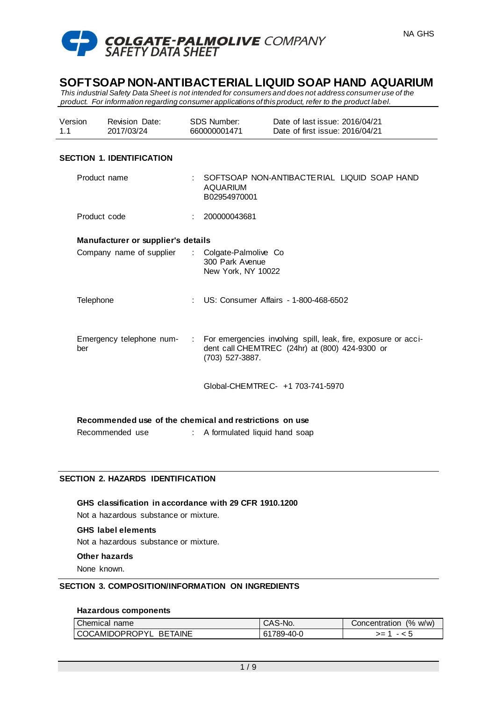

*This industrial Safety Data Sheet is not intended for consumers and does not address consumer use of the product. For information regarding consumer applications of this product, refer to the product label.*

| Version | Revision Date: | SDS Number:  | Date of last issue: 2016/04/21  |
|---------|----------------|--------------|---------------------------------|
| 1.1     | 2017/03/24     | 660000001471 | Date of first issue: 2016/04/21 |

## **SECTION 1. IDENTIFICATION**

| Product name                                            |    | SOFTSOAP NON-ANTIBACTE RIAL LIQUID SOAP HAND<br>AQUARIUM<br>B02954970001                                                            |
|---------------------------------------------------------|----|-------------------------------------------------------------------------------------------------------------------------------------|
| Product code                                            |    | 200000043681                                                                                                                        |
| Manufacturer or supplier's details                      |    |                                                                                                                                     |
| Company name of supplier                                | ÷. | Colgate-Palmolive Co<br>300 Park Avenue<br>New York, NY 10022                                                                       |
| Telephone                                               | ÷. | US: Consumer Affairs - 1-800-468-6502                                                                                               |
| Emergency telephone num- :<br>ber                       |    | For emergencies involving spill, leak, fire, exposure or acci-<br>dent call CHEMTREC (24hr) at (800) 424-9300 or<br>(703) 527-3887. |
|                                                         |    | Global-CHEMTRE C- +1 703-741-5970                                                                                                   |
| Recommended use of the chemical and restrictions on use |    |                                                                                                                                     |
|                                                         |    |                                                                                                                                     |
| Recommended use                                         |    | A formulated liquid hand soap                                                                                                       |

## **SECTION 2. HAZARDS IDENTIFICATION**

**GHS classification in accordance with 29 CFR 1910.1200** Not a hazardous substance or mixture. **GHS label elements**

Not a hazardous substance or mixture.

#### **Other hazards**

None known.

#### **SECTION 3. COMPOSITION/INFORMATION ON INGREDIENTS**

#### **Hazardous components**

| Chemical name          | CAS-No.    | (% w/w)<br>Concentration |
|------------------------|------------|--------------------------|
| COCAMIDOPROPYL BETAINE | 61789-40-0 | >=                       |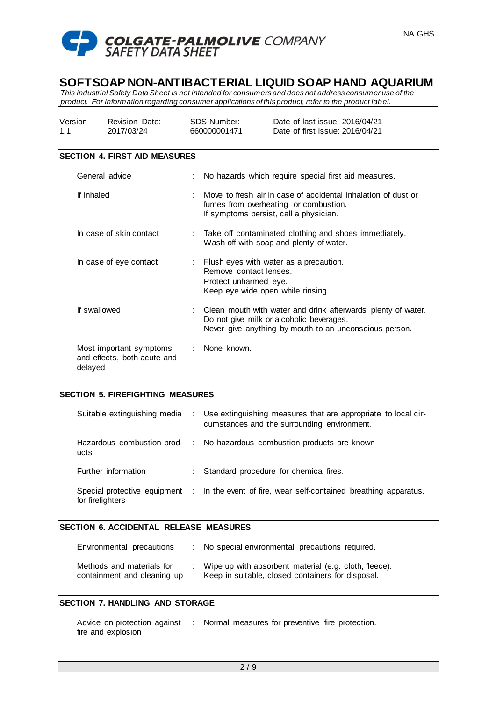

*This industrial Safety Data Sheet is not intended for consumers and does not address consumer use of the product. For information regarding consumer applications of this product, refer to the product label.*

| Version | <b>Revision Date:</b> | SDS Number:  | Date of last issue: 2016/04/21  |
|---------|-----------------------|--------------|---------------------------------|
| 1.1     | 2017/03/24            | 660000001471 | Date of first issue: 2016/04/21 |

### **SECTION 4. FIRST AID MEASURES**

| General advice                                                    | No hazards which require special first aid measures.                                                                                                               |
|-------------------------------------------------------------------|--------------------------------------------------------------------------------------------------------------------------------------------------------------------|
| If inhaled                                                        | Move to fresh air in case of accidental inhalation of dust or<br>fumes from overheating or combustion.<br>If symptoms persist, call a physician.                   |
| In case of skin contact                                           | : Take off contaminated clothing and shoes immediately.<br>Wash off with soap and plenty of water.                                                                 |
| In case of eye contact                                            | : Flush eyes with water as a precaution.<br>Remove contact lenses.<br>Protect unharmed eye.<br>Keep eye wide open while rinsing.                                   |
| If swallowed                                                      | Clean mouth with water and drink afterwards plenty of water.<br>Do not give milk or alcoholic beverages.<br>Never give anything by mouth to an unconscious person. |
| Most important symptoms<br>and effects, both acute and<br>delayed | : None known.                                                                                                                                                      |

#### **SECTION 5. FIREFIGHTING MEASURES**

|                     | Suitable extinguishing media : Use extinguishing measures that are appropriate to local cir-<br>cumstances and the surrounding environment. |
|---------------------|---------------------------------------------------------------------------------------------------------------------------------------------|
| ucts                | Hazardous combustion prod- : No hazardous combustion products are known                                                                     |
| Further information | : Standard procedure for chemical fires.                                                                                                    |
| for firefighters    | Special protective equipment : In the event of fire, wear self-contained breathing apparatus.                                               |

#### **SECTION 6. ACCIDENTAL RELEASE MEASURES**

| Environmental precautions                                | : No special environmental precautions required.                                                           |
|----------------------------------------------------------|------------------------------------------------------------------------------------------------------------|
| Methods and materials for<br>containment and cleaning up | Wipe up with absorbent material (e.g. cloth, fleece).<br>Keep in suitable, closed containers for disposal. |

#### **SECTION 7. HANDLING AND STORAGE**

Advice on protection against : Normal measures for preventive fire protection.fire and explosion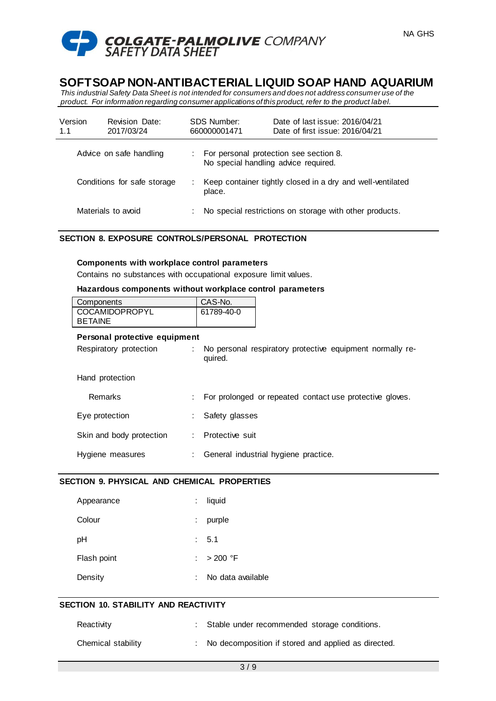

*This industrial Safety Data Sheet is not intended for consumers and does not address consumer use of the product. For information regarding consumer applications of this product, refer to the product label.*

| Version<br>1.1 | <b>Revision Date:</b><br>2017/03/24 | SDS Number:<br>660000001471          | Date of last issue: 2016/04/21<br>Date of first issue: 2016/04/21 |
|----------------|-------------------------------------|--------------------------------------|-------------------------------------------------------------------|
|                | Advice on safe handling             | No special handling advice required. | For personal protection see section 8.                            |
|                | Conditions for safe storage         | place.                               | Keep container tightly closed in a dry and well-ventilated        |
|                | Materials to avoid                  |                                      | No special restrictions on storage with other products.           |

## **SECTION 8. EXPOSURE CONTROLS/PERSONAL PROTECTION**

#### **Components with workplace control parameters**

Contains no substances with occupational exposure limit values.

#### **Hazardous components without workplace control parameters**

| Components            | CAS-No.    |  |
|-----------------------|------------|--|
| <b>COCAMIDOPROPYL</b> | 61789-40-0 |  |
| <b>BETAINE</b>        |            |  |

#### **Personal protective equipment**

| No personal respiratory protective equipment normally re- |
|-----------------------------------------------------------|
|                                                           |
| For prolonged or repeated contact use protective gloves.  |
|                                                           |
|                                                           |
|                                                           |

Hygiene measures : General industrial hygiene practice.

## **SECTION 9. PHYSICAL AND CHEMICAL PROPERTIES**

| Appearance  |    | liquid            |
|-------------|----|-------------------|
| Colour      | ÷. | purple            |
| рH          |    | : 5.1             |
| Flash point |    | : $>200$ °F       |
| Density     |    | No data available |

# **SECTION 10. STABILITY AND REACTIVITY**

| Reactivity         | Stable under recommended storage conditions.          |
|--------------------|-------------------------------------------------------|
| Chemical stability | : No decomposition if stored and applied as directed. |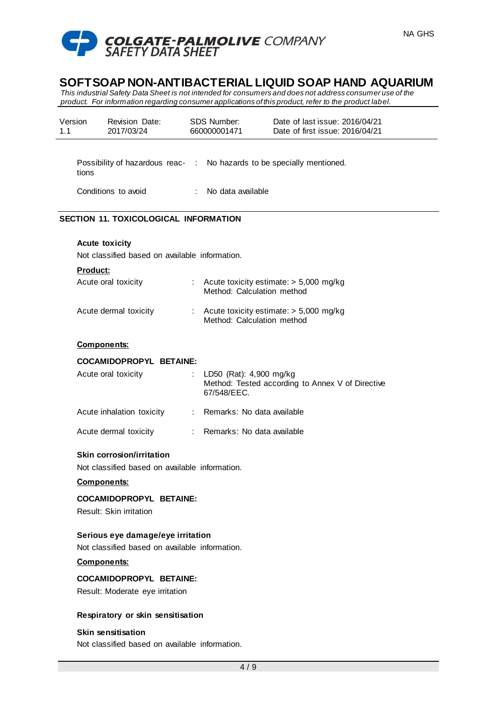

*This industrial Safety Data Sheet is not intended for consumers and does not address consumer use of the product. For information regarding consumer applications of this product, refer to the product label.*

| 1.1 | Version                                                                         | <b>Revision Date:</b><br>2017/03/24                               | <b>SDS Number:</b><br>660000001471     | Date of last issue: 2016/04/21<br>Date of first issue: 2016/04/21 |
|-----|---------------------------------------------------------------------------------|-------------------------------------------------------------------|----------------------------------------|-------------------------------------------------------------------|
|     |                                                                                 |                                                                   |                                        |                                                                   |
|     | Possibility of hazardous reac- : No hazards to be specially mentioned.<br>tions |                                                                   |                                        |                                                                   |
|     |                                                                                 | Conditions to avoid                                               | : No data available                    |                                                                   |
|     |                                                                                 | <b>SECTION 11. TOXICOLOGICAL INFORMATION</b>                      |                                        |                                                                   |
|     |                                                                                 | <b>Acute toxicity</b>                                             |                                        |                                                                   |
|     |                                                                                 | Not classified based on available information.                    |                                        |                                                                   |
|     | Product:                                                                        | Acute oral toxicity                                               | Method: Calculation method             | : Acute toxicity estimate: $> 5,000$ mg/kg                        |
|     |                                                                                 | Acute dermal toxicity                                             | Method: Calculation method             | : Acute toxicity estimate: $> 5,000$ mg/kg                        |
|     |                                                                                 | <b>Components:</b>                                                |                                        |                                                                   |
|     |                                                                                 | <b>COCAMIDOPROPYL BETAINE:</b>                                    |                                        |                                                                   |
|     |                                                                                 | Acute oral toxicity                                               | LD50 (Rat): 4,900 mg/kg<br>67/548/EEC. | Method: Tested according to Annex V of Directive                  |
|     |                                                                                 | Acute inhalation toxicity                                         | : Remarks: No data available           |                                                                   |
|     |                                                                                 | Acute dermal toxicity                                             | : Remarks: No data available           |                                                                   |
|     |                                                                                 | Skin corrosion/irritation                                         |                                        |                                                                   |
|     |                                                                                 | Not classified based on available information.                    |                                        |                                                                   |
|     |                                                                                 | <b>Components:</b>                                                |                                        |                                                                   |
|     |                                                                                 | <b>COCAMIDOPROPYL BETAINE:</b>                                    |                                        |                                                                   |
|     |                                                                                 | Result: Skin irritation                                           |                                        |                                                                   |
|     |                                                                                 | Serious eye damage/eye irritation                                 |                                        |                                                                   |
|     |                                                                                 | Not classified based on available information.                    |                                        |                                                                   |
|     |                                                                                 | <b>Components:</b>                                                |                                        |                                                                   |
|     |                                                                                 | <b>COCAMIDOPROPYL BETAINE:</b><br>Result: Moderate eye irritation |                                        |                                                                   |
|     |                                                                                 | Respiratory or skin sensitisation                                 |                                        |                                                                   |
|     |                                                                                 | <b>Skin sensitisation</b>                                         |                                        |                                                                   |
|     |                                                                                 | Not classified based on available information.                    |                                        |                                                                   |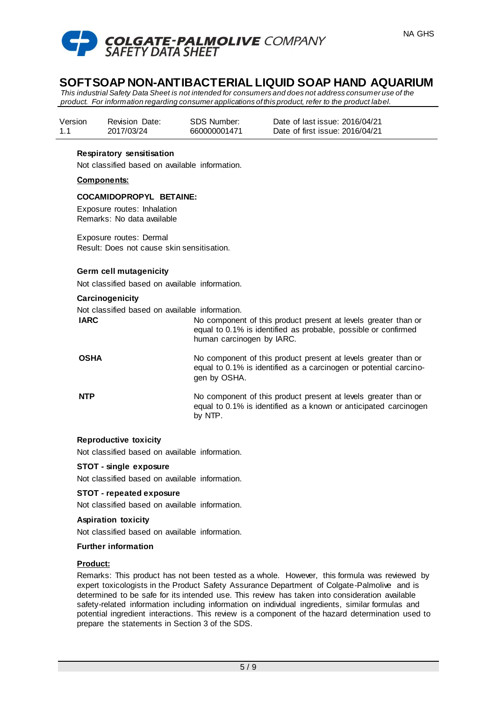

*This industrial Safety Data Sheet is not intended for consumers and does not address consumer use of the product. For information regarding consumer applications of this product, refer to the product label.*

| Version | <b>Revision Date:</b> | SDS Number:  | Date of last issue: 2016/04/21  |
|---------|-----------------------|--------------|---------------------------------|
| 1.1     | 2017/03/24            | 660000001471 | Date of first issue: 2016/04/21 |

### **Respiratory sensitisation**

Not classified based on available information.

#### **Components:**

#### **COCAMIDOPROPYL BETAINE:**

Exposure routes: Inhalation Remarks: No data available

Exposure routes: Dermal Result: Does not cause skin sensitisation.

### **Germ cell mutagenicity**

Not classified based on available information.

#### **Carcinogenicity**

Not classified based on available information.

| <b>IARC</b> | No component of this product present at levels greater than or |
|-------------|----------------------------------------------------------------|
|             | equal to 0.1% is identified as probable, possible or confirmed |
|             | human carcinogen by IARC.                                      |

**OSHA** No component of this product present at levels greater than or equal to 0.1% is identified as a carcinogen or potential carcinogen by OSHA.

**NTP** No component of this product present at levels greater than or equal to 0.1% is identified as a known or anticipated carcinogen by NTP.

#### **Reproductive toxicity**

Not classified based on available information.

#### **STOT - single exposure**

Not classified based on available information.

#### **STOT - repeated exposure**

Not classified based on available information.

#### **Aspiration toxicity**

Not classified based on available information.

#### **Further information**

# **Product:**

Remarks: This product has not been tested as a whole. However, this formula was reviewed by expert toxicologists in the Product Safety Assurance Department of Colgate-Palmolive and is determined to be safe for its intended use. This review has taken into consideration available safety-related information including information on individual ingredients, similar formulas and potential ingredient interactions. This review is a component of the hazard determination used to prepare the statements in Section 3 of the SDS.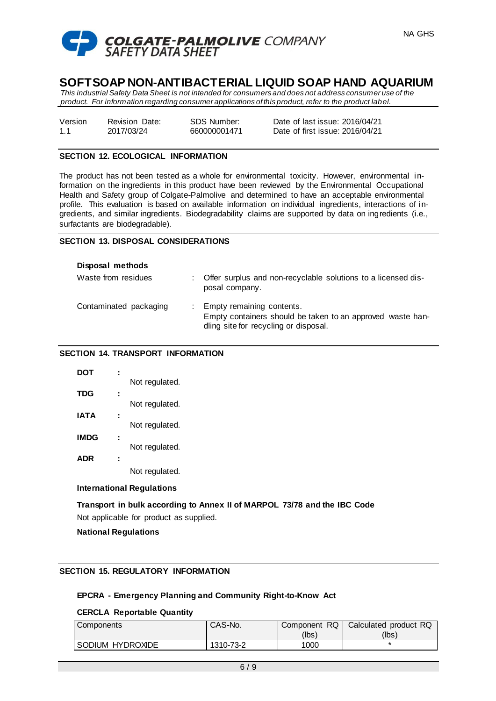



*This industrial Safety Data Sheet is not intended for consumers and does not address consumer use of the product. For information regarding consumer applications of this product, refer to the product label.*

| Version | <b>Revision Date:</b> | <b>SDS Number:</b> |
|---------|-----------------------|--------------------|
| 1.1     | 2017/03/24            | 660000001471       |

Date of last issue: 2016/04/21 Date of first issue: 2016/04/21

## **SECTION 12. ECOLOGICAL INFORMATION**

The product has not been tested as a whole for environmental toxicity. However, environmental information on the ingredients in this product have been reviewed by the Environmental Occupational Health and Safety group of Colgate-Palmolive and determined to have an acceptable environmental profile. This evaluation is based on available information on individual ingredients, interactions of ingredients, and similar ingredients. Biodegradability claims are supported by data on ingredients (i.e., surfactants are biodegradable).

## **SECTION 13. DISPOSAL CONSIDERATIONS**

| Disposal methods       |                                                                                                                                    |
|------------------------|------------------------------------------------------------------------------------------------------------------------------------|
| Waste from residues    | : Offer surplus and non-recyclable solutions to a licensed dis-<br>posal company.                                                  |
| Contaminated packaging | : Empty remaining contents.<br>Empty containers should be taken to an approved waste han-<br>dling site for recycling or disposal. |

### **SECTION 14. TRANSPORT INFORMATION**

| DOT        |                |
|------------|----------------|
|            | Not regulated. |
| <b>TDG</b> |                |
|            | Not regulated. |
| IATA       |                |
|            | Not regulated. |
| IMDG       |                |
|            | Not regulated. |
| <b>ADR</b> |                |
|            | Not regulated. |

# **International Regulations**

**Transport in bulk according to Annex II of MARPOL 73/78 and the IBC Code** Not applicable for product as supplied.

**National Regulations**

# **SECTION 15. REGULATORY INFORMATION**

# **EPCRA - Emergency Planning and Community Right-to-Know Act**

#### **CERCLA Reportable Quantity**

| Components       | CAS-No.   | Component RQ | Calculated product RQ |
|------------------|-----------|--------------|-----------------------|
|                  |           | (Ibs`        | (lbsː                 |
| SODIUM HYDROXIDE | 1310-73-2 | 1000         |                       |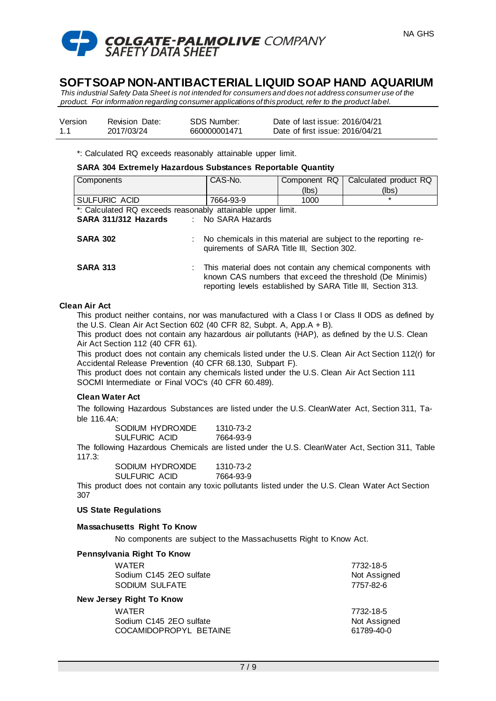

*This industrial Safety Data Sheet is not intended for consumers and does not address consumer use of the product. For information regarding consumer applications of this product, refer to the product label.*

| Version | <b>Revision Date:</b> | SDS Number:  | Date of last issue: 2016/04/21  |
|---------|-----------------------|--------------|---------------------------------|
| 1.1     | 2017/03/24            | 660000001471 | Date of first issue: 2016/04/21 |

\*: Calculated RQ exceeds reasonably attainable upper limit.

**SARA 304 Extremely Hazardous Substances Reportable Quantity**

| Components                                                  | CAS-No.                                    | Component RQ | Calculated product RQ                                                                                                                                                                   |
|-------------------------------------------------------------|--------------------------------------------|--------------|-----------------------------------------------------------------------------------------------------------------------------------------------------------------------------------------|
|                                                             |                                            | (lbs)        | (lbs)                                                                                                                                                                                   |
| SULFURIC ACID                                               | 7664-93-9                                  | 1000         | $\star$                                                                                                                                                                                 |
| *: Calculated RQ exceeds reasonably attainable upper limit. |                                            |              |                                                                                                                                                                                         |
| SARA 311/312 Hazards                                        | : No SARA Hazards                          |              |                                                                                                                                                                                         |
| <b>SARA 302</b>                                             | quirements of SARA Title III, Section 302. |              | No chemicals in this material are subject to the reporting re-                                                                                                                          |
| <b>SARA 313</b>                                             |                                            |              | This material does not contain any chemical components with<br>known CAS numbers that exceed the threshold (De Minimis)<br>reporting levels established by SARA Title III, Section 313. |
| on Air Ant                                                  |                                            |              |                                                                                                                                                                                         |

# **Clean Air Act**

This product neither contains, nor was manufactured with a Class I or Class II ODS as defined by the U.S. Clean Air Act Section 602 (40 CFR 82, Subpt. A, App.A + B).

This product does not contain any hazardous air pollutants (HAP), as defined by the U.S. Clean Air Act Section 112 (40 CFR 61).

This product does not contain any chemicals listed under the U.S. Clean Air Act Section 112(r) for Accidental Release Prevention (40 CFR 68.130, Subpart F).

This product does not contain any chemicals listed under the U.S. Clean Air Act Section 111 SOCMI Intermediate or Final VOC's (40 CFR 60.489).

#### **Clean Water Act**

The following Hazardous Substances are listed under the U.S. CleanWater Act, Section 311, Table 116.4A:

| SODIUM HYDROXIDE | 1310-73-2 |
|------------------|-----------|
| SULFURIC ACID    | 7664-93-9 |

The following Hazardous Chemicals are listed under the U.S. CleanWater Act, Section 311, Table 117.3:

| SODIUM HYDROXIDE | 1310-73-2 |
|------------------|-----------|
| SULFURIC ACID    | 7664-93-9 |

This product does not contain any toxic pollutants listed under the U.S. Clean Water Act Section 307

#### **US State Regulations**

#### **Massachusetts Right To Know**

No components are subject to the Massachusetts Right to Know Act.

| Pennsylvania Right To Know |              |  |  |  |
|----------------------------|--------------|--|--|--|
| WATER                      | 7732-18-5    |  |  |  |
| Sodium C145 2EO sulfate    | Not Assigned |  |  |  |
| SODIUM SULFATE             | 7757-82-6    |  |  |  |
| New Jersey Right To Know   |              |  |  |  |
| WATER                      | 7732-18-5    |  |  |  |
| Sodium C145 2EO sulfate    | Not Assigned |  |  |  |
| COCAMIDOPROPYL BETAINE     | 61789-40-0   |  |  |  |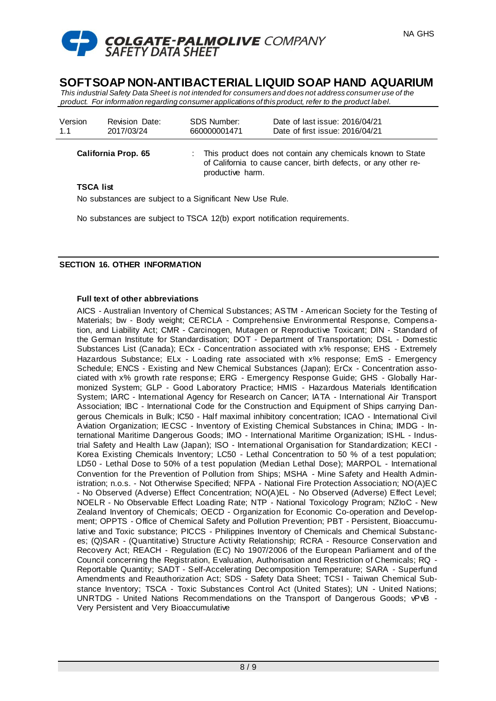

*This industrial Safety Data Sheet is not intended for consumers and does not address consumer use of the product. For information regarding consumer applications of this product, refer to the product label.*

| Version<br>1.1             | <b>Revision Date:</b><br>2017/03/24 | SDS Number:<br>660000001471                                                                                                                      | Date of last issue: 2016/04/21<br>Date of first issue: 2016/04/21 |
|----------------------------|-------------------------------------|--------------------------------------------------------------------------------------------------------------------------------------------------|-------------------------------------------------------------------|
| <b>California Prop. 65</b> |                                     | This product does not contain any chemicals known to State<br>of California to cause cancer, birth defects, or any other re-<br>productive harm. |                                                                   |
| <b>TSCA list</b>           |                                     |                                                                                                                                                  |                                                                   |

No substances are subject to a Significant New Use Rule.

No substances are subject to TSCA 12(b) export notification requirements.

## **SECTION 16. OTHER INFORMATION**

#### **Full text of other abbreviations**

AICS - Australian Inventory of Chemical Substances; ASTM - American Society for the Testing of Materials; bw - Body weight; CERCLA - Comprehensive Environmental Response, Compensation, and Liability Act; CMR - Carcinogen, Mutagen or Reproductive Toxicant; DIN - Standard of the German Institute for Standardisation; DOT - Department of Transportation; DSL - Domestic Substances List (Canada); ECx - Concentration associated with x% response; EHS - Extremely Hazardous Substance; ELx - Loading rate associated with x% response; EmS - Emergency Schedule; ENCS - Existing and New Chemical Substances (Japan); ErCx - Concentration associated with x% growth rate response; ERG - Emergency Response Guide; GHS - Globally Harmonized System; GLP - Good Laboratory Practice; HMIS - Hazardous Materials Identification System; IARC - International Agency for Research on Cancer; IATA - International Air Transport Association; IBC - International Code for the Construction and Equipment of Ships carrying Dangerous Chemicals in Bulk; IC50 - Half maximal inhibitory concentration; ICAO - International Civil Aviation Organization; IECSC - Inventory of Existing Chemical Substances in China; IMDG - International Maritime Dangerous Goods; IMO - International Maritime Organization; ISHL - Industrial Safety and Health Law (Japan); ISO - International Organisation for Standardization; KECI - Korea Existing Chemicals Inventory; LC50 - Lethal Concentration to 50 % of a test population; LD50 - Lethal Dose to 50% of a test population (Median Lethal Dose); MARPOL - International Convention for the Prevention of Pollution from Ships; MSHA - Mine Safety and Health Administration; n.o.s. - Not Otherwise Specified; NFPA - National Fire Protection Association; NO(A)EC - No Observed (Adverse) Effect Concentration; NO(A)EL - No Observed (Adverse) Effect Level; NOELR - No Observable Effect Loading Rate; NTP - National Toxicology Program; NZIoC - New Zealand Inventory of Chemicals; OECD - Organization for Economic Co-operation and Development; OPPTS - Office of Chemical Safety and Pollution Prevention; PBT - Persistent, Bioaccumulative and Toxic substance; PICCS - Philippines Inventory of Chemicals and Chemical Substances; (Q)SAR - (Quantitative) Structure Activity Relationship; RCRA - Resource Conservation and Recovery Act; REACH - Regulation (EC) No 1907/2006 of the European Parliament and of the Council concerning the Registration, Evaluation, Authorisation and Restriction of Chemicals; RQ - Reportable Quantity; SADT - Self-Accelerating Decomposition Temperature; SARA - Superfund Amendments and Reauthorization Act; SDS - Safety Data Sheet; TCSI - Taiwan Chemical Substance Inventory; TSCA - Toxic Substances Control Act (United States); UN - United Nations; UNRTDG - United Nations Recommendations on the Transport of Dangerous Goods; vPvB - Very Persistent and Very Bioaccumulative